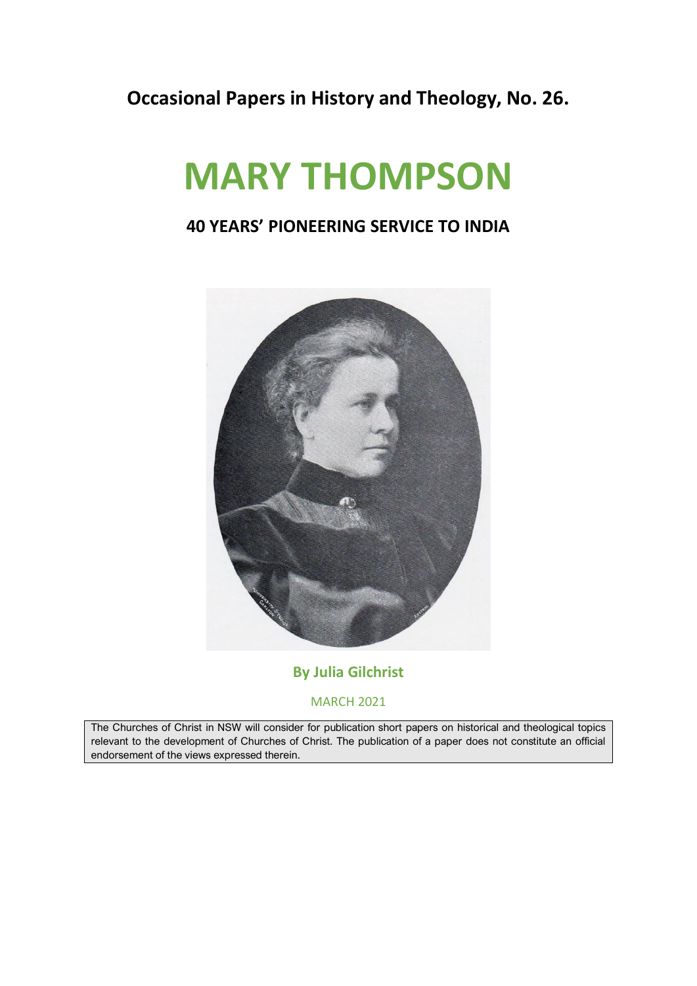#### **Occasional Papers in History and Theology, No. 26.**

# **MARY THOMPSON**

#### **40 YEARS' PIONEERING SERVICE TO INDIA**



#### **By Julia Gilchrist**

MARCH 2021

The Churches of Christ in NSW will consider for publication short papers on historical and theological topics relevant to the development of Churches of Christ. The publication of a paper does not constitute an official endorsement of the views expressed therein.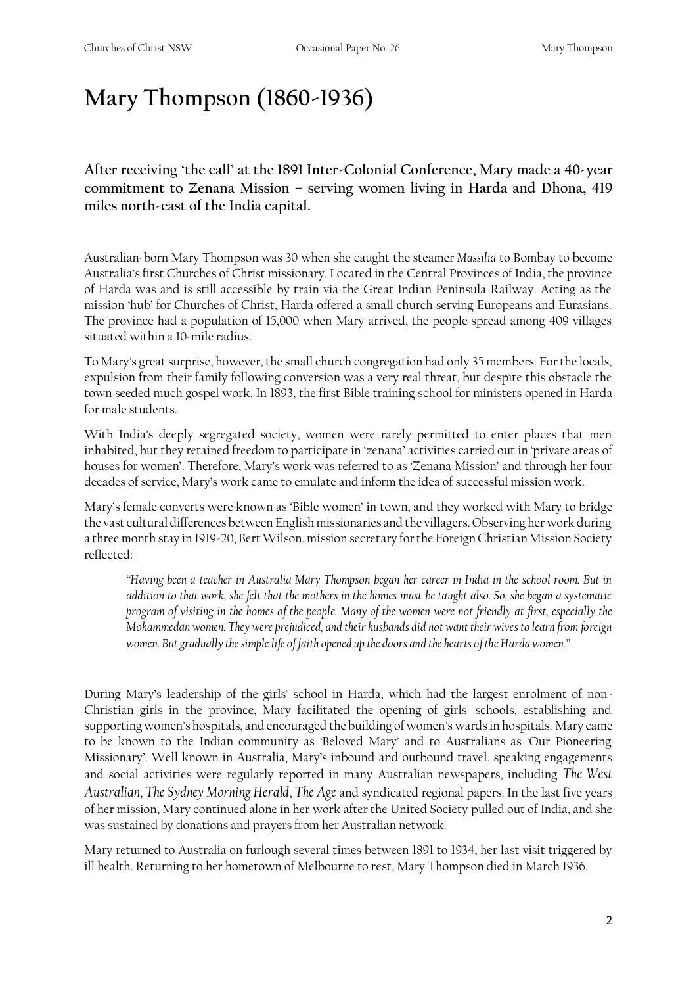### **Mary Thompson (1860-1936)**

**After receiving 'the call' at the 1891 Inter-Colonial Conference, Mary made a 40-year commitment to Zenana Mission – serving women living in Harda and Dhona, 419 miles north-east of the India capital.**

Australian-born Mary Thompson was 30 when she caught the steamer *Massilia* to Bombay to become Australia's first Churches of Christ missionary. Located in the Central Provinces of India, the province of Harda was and is still accessible by train via the Great Indian Peninsula Railway. Acting as the mission 'hub' for Churches of Christ, Harda offered a small church serving Europeans and Eurasians. The province had a population of 15,000 when Mary arrived, the people spread among 409 villages situated within a 10-mile radius.

To Mary's great surprise, however, the small church congregation had only 35 members. For the locals, expulsion from their family following conversion was a very real threat, but despite this obstacle the town seeded much gospel work. In 1893, the first Bible training school for ministers opened in Harda for male students.

With India's deeply segregated society, women were rarely permitted to enter places that men inhabited, but they retained freedom to participate in 'zenana' activities carried out in 'private areas of houses for women'. Therefore, Mary's work was referred to as 'Zenana Mission' and through her four decades of service, Mary's work came to emulate and inform the idea of successful mission work.

Mary's female converts were known as 'Bible women' in town, and they worked with Mary to bridge the vast cultural differences between English missionaries and the villagers. Observing her work during a three month stay in 1919-20, Bert Wilson, mission secretary for the Foreign Christian Mission Society reflected:

*"Having been a teacher in Australia Mary Thompson began her career in India in the school room. But in addition to that work, she felt that the mothers in the homes must be taught also. So, she began a systematic program of visiting in the homes of the people. Many of the women were not friendly at first, especially the Mohammedan women. They were prejudiced, and their husbands did not want their wives to learn from foreign women. But gradually the simple life of faith opened up the doors and the hearts of the Harda women."* 

During Mary's leadership of the girls' school in Harda, which had the largest enrolment of non-Christian girls in the province, Mary facilitated the opening of girls' schools, establishing and supporting women's hospitals, and encouraged the building of women's wards in hospitals. Mary came to be known to the Indian community as 'Beloved Mary' and to Australians as 'Our Pioneering Missionary'. Well known in Australia, Mary's inbound and outbound travel, speaking engagements and social activities were regularly reported in many Australian newspapers, including *The West Australian*, *The Sydney Morning Herald*, *The Age* and syndicated regional papers. In the last five years of her mission, Mary continued alone in her work after the United Society pulled out of India, and she was sustained by donations and prayers from her Australian network.

Mary returned to Australia on furlough several times between 1891 to 1934, her last visit triggered by ill health. Returning to her hometown of Melbourne to rest, Mary Thompson died in March 1936.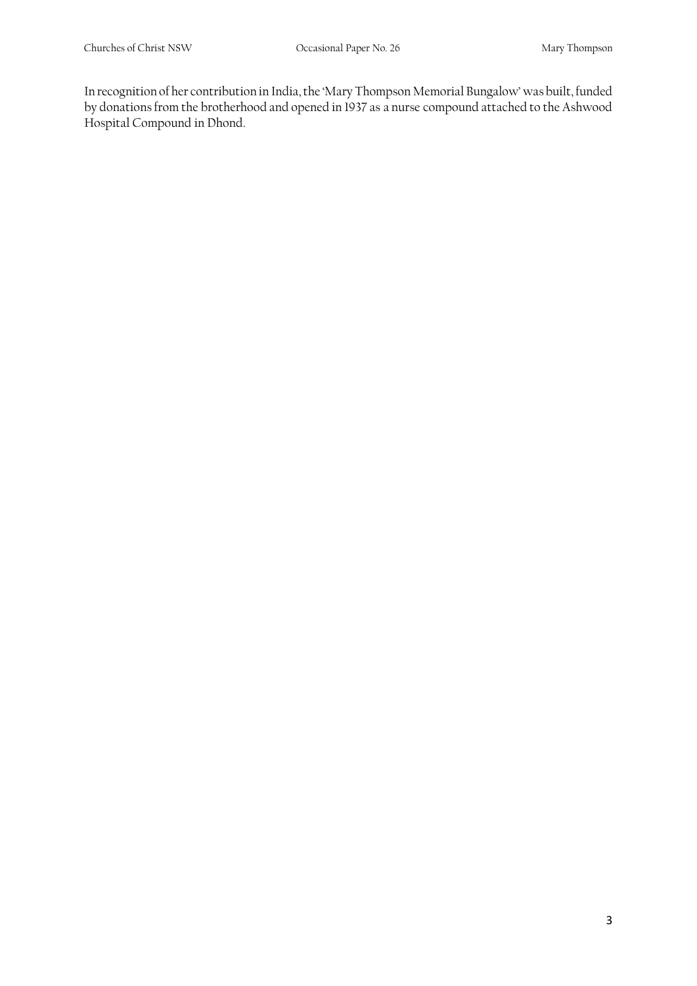In recognition of her contribution in India, the 'Mary Thompson Memorial Bungalow' was built, funded by donations from the brotherhood and opened in 1937 as a nurse compound attached to the Ashwood Hospital Compound in Dhond.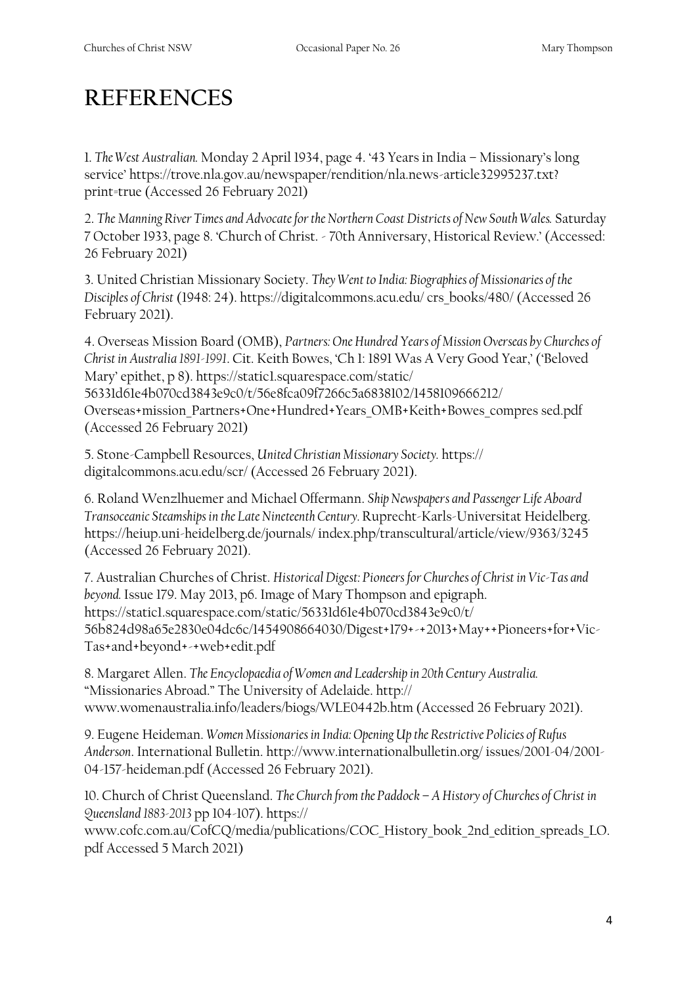## **REFERENCES**

1. *The West Australian.* Monday 2 April 1934, page 4. '43 Years in India – Missionary's long service' https://trove.nla.gov.au/newspaper/rendition/nla.news-article32995237.txt? print=true (Accessed 26 February 2021)

2. *The Manning River Times and Advocate for the Northern Coast Districts of New South Wales.* Saturday 7 October 1933, page 8. 'Church of Christ. - 70th Anniversary, Historical Review.' (Accessed: 26 February 2021)

3. United Christian Missionary Society. *They Went to India: Biographies of Missionaries of the Disciples of Christ* (1948: 24). https://digitalcommons.acu.edu/ crs\_books/480/ (Accessed 26 February 2021).

4. Overseas Mission Board (OMB), *Partners: One Hundred Years of Mission Overseas by Churches of Christ in Australia 1891-1991*. Cit. Keith Bowes, 'Ch 1: 1891 Was A Very Good Year,' ('Beloved Mary' epithet, p 8). https://staticl.squarespace.com/static/ 56331d61e4b070cd3843e9c0/t/56e8fca09f7266c5a6838102/1458109666212/ Overseas+mission\_Partners+One+Hundred+Years\_OMB+Keith+Bowes\_compres sed.pdf (Accessed 26 February 2021)

5. Stone-Campbell Resources, *United Christian Missionary Society.* https:// digitalcommons.acu.edu/scr/ (Accessed 26 February 2021).

6. Roland Wenzlhuemer and Michael Offermann. *Ship Newspapers and Passenger Life Aboard Transoceanic Steamships in the Late Nineteenth Century.* Ruprecht-Karls-Universitat Heidelberg. https://heiup.uni-heidelberg.de/journals/ index.php/transcultural/article/view/9363/3245 (Accessed 26 February 2021).

7. Australian Churches of Christ. *Historical Digest: Pioneers for Churches of Christ in Vic-Tas and beyond.* Issue 179. May 2013, p6. Image of Mary Thompson and epigraph. https://static1.squarespace.com/static/56331d61e4b070cd3843e9c0/t/ 56b824d98a65e2830e04dc6c/1454908664030/Digest+179+-+2013+May++Pioneers+for+Vic-Tas+and+beyond+-+web+edit.pdf

8. Margaret Allen. *The Encyclopaedia of Women and Leadership in 20th Century Australia.*  "Missionaries Abroad." The University of Adelaide. http:// www.womenaustralia.info/leaders/biogs/WLE0442b.htm (Accessed 26 February 2021).

9. Eugene Heideman. *Women Missionaries in India: Opening Up the Restrictive Policies of Rufus Anderson*. International Bulletin. http://www.internationalbulletin.org/ issues/2001-04/2001- 04-157-heideman.pdf (Accessed 26 February 2021).

10. Church of Christ Queensland. *The Church from the Paddock – A History of Churches of Christ in Queensland 1883-2013* pp 104-107). https://

www.cofc.com.au/CofCQ/media/publications/COC\_History\_book\_2nd\_edition\_spreads\_LO. pdf Accessed 5 March 2021)